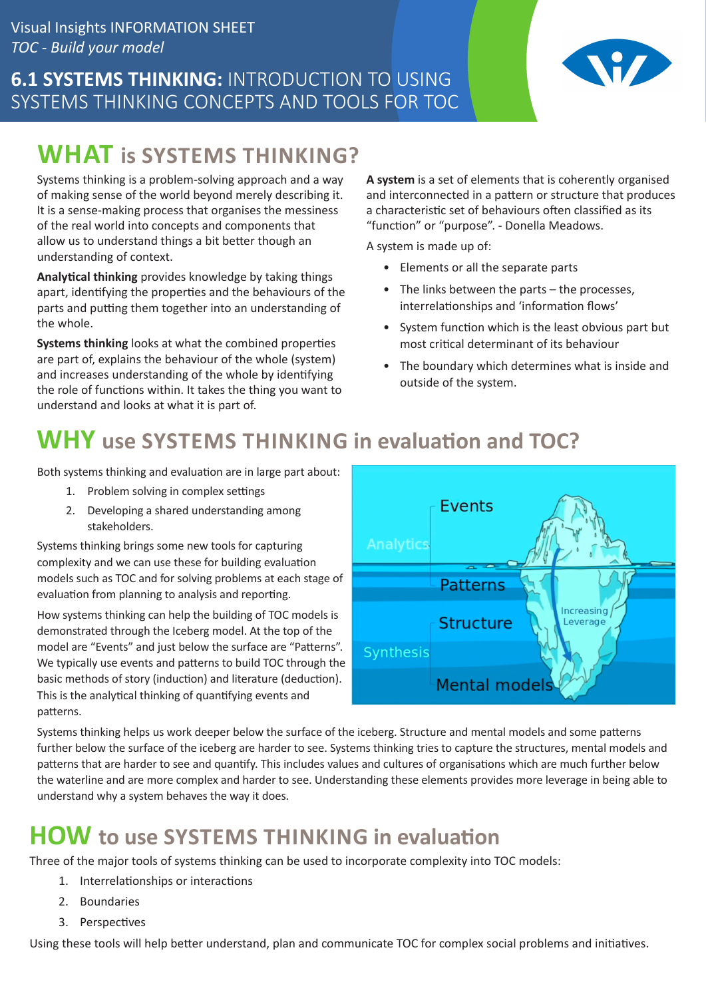## **6.1 SYSTEMS THINKING:** INTRODUCTION TO USING SYSTEMS THINKING CONCEPTS AND TOOLS FOR TOC



# **WHAT is SYSTEMS THINKING?**

Systems thinking is a problem-solving approach and a way of making sense of the world beyond merely describing it. It is a sense-making process that organises the messiness of the real world into concepts and components that allow us to understand things a bit better though an understanding of context.

**Analytical thinking** provides knowledge by taking things apart, identifying the properties and the behaviours of the parts and putting them together into an understanding of the whole.

**Systems thinking** looks at what the combined properties are part of, explains the behaviour of the whole (system) and increases understanding of the whole by identifying the role of functions within. It takes the thing you want to understand and looks at what it is part of.

**A system** is a set of elements that is coherently organised and interconnected in a pattern or structure that produces a characteristic set of behaviours often classified as its "function" or "purpose". - Donella Meadows.

A system is made up of:

- Elements or all the separate parts
- The links between the parts the processes, interrelationships and 'information flows'
- System function which is the least obvious part but most critical determinant of its behaviour
- The boundary which determines what is inside and outside of the system.

# **WHY use SYSTEMS THINKING in evaluation and TOC?**

Both systems thinking and evaluation are in large part about:

- 1. Problem solving in complex settings
- 2. Developing a shared understanding among stakeholders.

Systems thinking brings some new tools for capturing complexity and we can use these for building evaluation models such as TOC and for solving problems at each stage of evaluation from planning to analysis and reporting.

How systems thinking can help the building of TOC models is demonstrated through the Iceberg model. At the top of the model are "Events" and just below the surface are "Patterns". We typically use events and patterns to build TOC through the basic methods of story (induction) and literature (deduction). This is the analytical thinking of quantifying events and patterns.



Systems thinking helps us work deeper below the surface of the iceberg. Structure and mental models and some patterns further below the surface of the iceberg are harder to see. Systems thinking tries to capture the structures, mental models and patterns that are harder to see and quantify. This includes values and cultures of organisations which are much further below the waterline and are more complex and harder to see. Understanding these elements provides more leverage in being able to understand why a system behaves the way it does.

## **HOW to use SYSTEMS THINKING in evaluation**

Three of the major tools of systems thinking can be used to incorporate complexity into TOC models:

- 1. Interrelationships or interactions
- 2. Boundaries
- 3. Perspectives

Using these tools will help better understand, plan and communicate TOC for complex social problems and initiatives.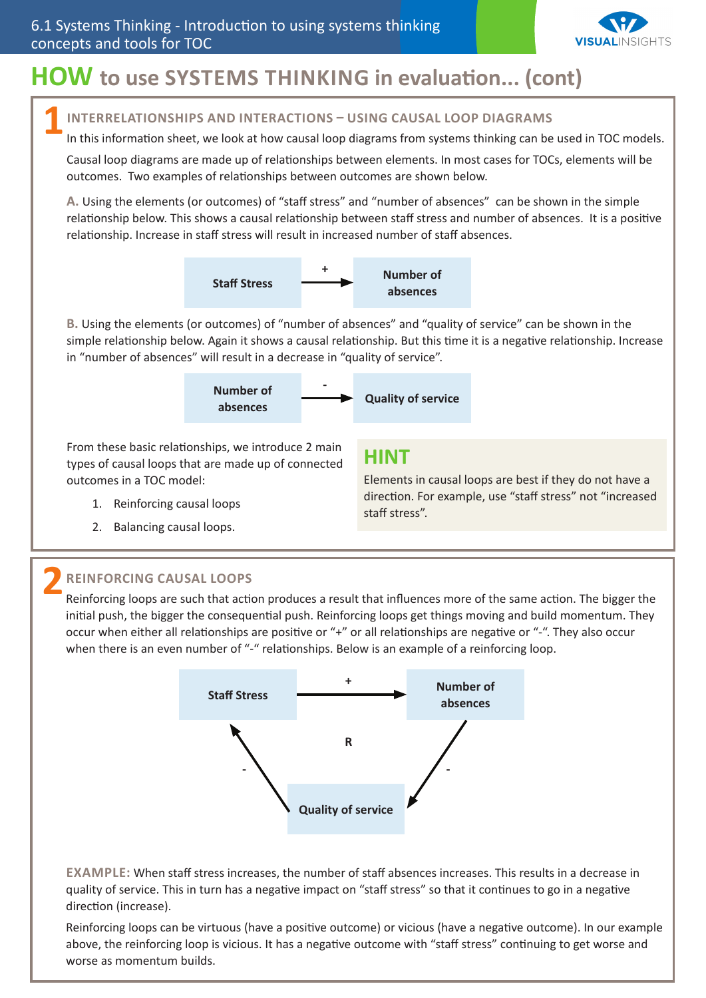

## **HOW to use SYSTEMS THINKING in evaluation... (cont)**

### **INTERRELATIONSHIPS AND INTERACTIONS – USING CAUSAL LOOP DIAGRAMS 1**

In this information sheet, we look at how causal loop diagrams from systems thinking can be used in TOC models.

Causal loop diagrams are made up of relationships between elements. In most cases for TOCs, elements will be outcomes. Two examples of relationships between outcomes are shown below.

**A.** Using the elements (or outcomes) of "staff stress" and "number of absences" can be shown in the simple relationship below. This shows a causal relationship between staff stress and number of absences. It is a positive relationship. Increase in staff stress will result in increased number of staff absences.



**B.** Using the elements (or outcomes) of "number of absences" and "quality of service" can be shown in the simple relationship below. Again it shows a causal relationship. But this time it is a negative relationship. Increase in "number of absences" will result in a decrease in "quality of service".



From these basic relationships, we introduce 2 main types of causal loops that are made up of connected outcomes in a TOC model:

- 1. Reinforcing causal loops
- 2. Balancing causal loops.

#### **HINT**

Elements in causal loops are best if they do not have a direction. For example, use "staff stress" not "increased staff stress".

### **REINFORCING CAUSAL LOOPS 2**

Reinforcing loops are such that action produces a result that influences more of the same action. The bigger the initial push, the bigger the consequential push. Reinforcing loops get things moving and build momentum. They occur when either all relationships are positive or "+" or all relationships are negative or "-". They also occur when there is an even number of "-" relationships. Below is an example of a reinforcing loop.



**EXAMPLE:** When staff stress increases, the number of staff absences increases. This results in a decrease in quality of service. This in turn has a negative impact on "staff stress" so that it continues to go in a negative direction (increase).

Reinforcing loops can be virtuous (have a positive outcome) or vicious (have a negative outcome). In our example above, the reinforcing loop is vicious. It has a negative outcome with "staff stress" continuing to get worse and worse as momentum builds.